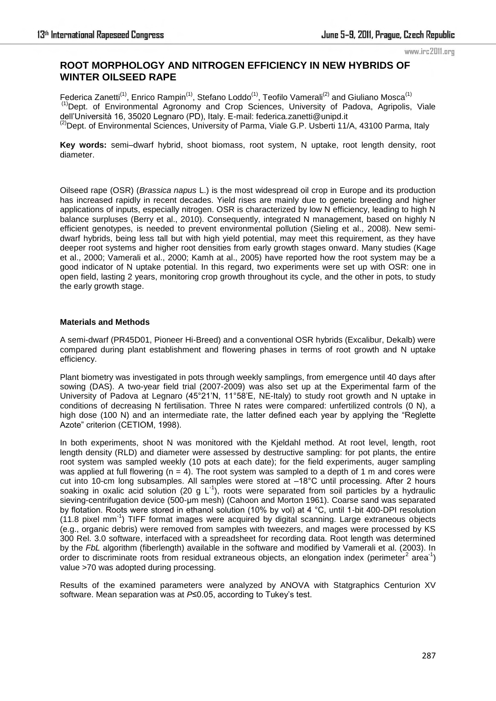#### www.irc2011.org

# **ROOT MORPHOLOGY AND NITROGEN EFFICIENCY IN NEW HYBRIDS OF WINTER OILSEED RAPE**

Federica Zanetti<sup>(1)</sup>, Enrico Rampin<sup>(1)</sup>, Stefano Loddo<sup>(1)</sup>, Teofilo Vamerali<sup>(2)</sup> and Giuliano Mosca<sup>(1)</sup> <sup>(1)</sup>Dept. of Environmental Agronomy and Crop Sciences, University of Padova, Agripolis, Viale dell'Università 16, 35020 Legnaro (PD), Italy. E-mail: federica.zanetti@unipd.it <sup>(2)</sup>Dept. of Environmental Sciences, University of Parma, Viale G.P. Usberti 11/A, 43100 Parma, Italy

**Key words:** semi–dwarf hybrid, shoot biomass, root system, N uptake, root length density, root diameter.

Oilseed rape (OSR) (*Brassica napus* L.) is the most widespread oil crop in Europe and its production has increased rapidly in recent decades. Yield rises are mainly due to genetic breeding and higher applications of inputs, especially nitrogen. OSR is characterized by low N efficiency, leading to high N balance surpluses (Berry et al., 2010). Consequently, integrated N management, based on highly N efficient genotypes, is needed to prevent environmental pollution (Sieling et al., 2008). New semidwarf hybrids, being less tall but with high yield potential, may meet this requirement, as they have deeper root systems and higher root densities from early growth stages onward. Many studies (Kage et al., 2000; Vamerali et al., 2000; Kamh at al., 2005) have reported how the root system may be a good indicator of N uptake potential. In this regard, two experiments were set up with OSR: one in open field, lasting 2 years, monitoring crop growth throughout its cycle, and the other in pots, to study the early growth stage.

## **Materials and Methods**

A semi-dwarf (PR45D01, Pioneer Hi-Breed) and a conventional OSR hybrids (Excalibur, Dekalb) were compared during plant establishment and flowering phases in terms of root growth and N uptake efficiency.

Plant biometry was investigated in pots through weekly samplings, from emergence until 40 days after sowing (DAS). A two-year field trial (2007-2009) was also set up at the Experimental farm of the University of Padova at Legnaro (45°21'N, 11°58'E, NE-Italy) to study root growth and N uptake in conditions of decreasing N fertilisation. Three N rates were compared: unfertilized controls (0 N), a high dose (100 N) and an intermediate rate, the latter defined each year by applying the "Reglette" Azote" criterion (CETIOM, 1998).

In both experiments, shoot N was monitored with the Kjeldahl method. At root level, length, root length density (RLD) and diameter were assessed by destructive sampling: for pot plants, the entire root system was sampled weekly (10 pots at each date); for the field experiments, auger sampling was applied at full flowering  $(n = 4)$ . The root system was sampled to a depth of 1 m and cores were cut into 10-cm long subsamples. All samples were stored at –18°C until processing. After 2 hours soaking in oxalic acid solution (20 g  $L^{-1}$ ), roots were separated from soil particles by a hydraulic sieving-centrifugation device (500-μm mesh) (Cahoon and Morton 1961). Coarse sand was separated by flotation. Roots were stored in ethanol solution (10% by vol) at 4 °C, until 1-bit 400-DPI resolution (11.8 pixel mm-1 ) TIFF format images were acquired by digital scanning. Large extraneous objects (e.g., organic debris) were removed from samples with tweezers, and mages were processed by KS 300 Rel. 3.0 software, interfaced with a spreadsheet for recording data. Root length was determined by the *FbL* algorithm (fiberlength) available in the software and modified by Vamerali et al. (2003). In order to discriminate roots from residual extraneous objects, an elongation index (perimeter<sup>2</sup> area<sup>-1</sup>) value >70 was adopted during processing.

Results of the examined parameters were analyzed by ANOVA with Statgraphics Centurion XV software. Mean separation was at *P*≤0.05, according to Tukey's test.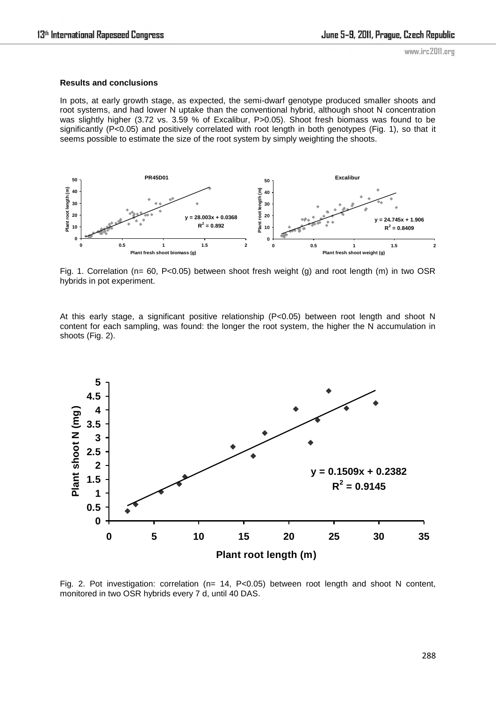## **Results and conclusions**

In pots, at early growth stage, as expected, the semi-dwarf genotype produced smaller shoots and root systems, and had lower N uptake than the conventional hybrid, although shoot N concentration was slightly higher (3.72 vs. 3.59 % of Excalibur, P>0.05). Shoot fresh biomass was found to be significantly (P<0.05) and positively correlated with root length in both genotypes (Fig. 1), so that it seems possible to estimate the size of the root system by simply weighting the shoots.



Fig. 1. Correlation ( $n= 60$ , P<0.05) between shoot fresh weight (q) and root length (m) in two OSR hybrids in pot experiment.

At this early stage, a significant positive relationship (P<0.05) between root length and shoot N content for each sampling, was found: the longer the root system, the higher the N accumulation in shoots (Fig. 2).



Fig. 2. Pot investigation: correlation (n= 14, P<0.05) between root length and shoot N content, monitored in two OSR hybrids every 7 d, until 40 DAS.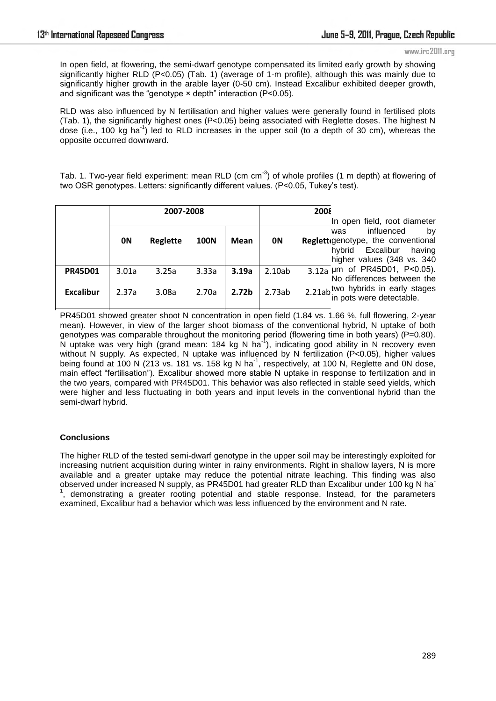#### www.irc2011.org

In open field, at flowering, the semi-dwarf genotype compensated its limited early growth by showing significantly higher RLD (P<0.05) (Tab. 1) (average of 1-m profile), although this was mainly due to significantly higher growth in the arable layer (0-50 cm). Instead Excalibur exhibited deeper growth, and significant was the "genotype  $\times$  depth" interaction (P<0.05).

RLD was also influenced by N fertilisation and higher values were generally found in fertilised plots (Tab. 1), the significantly highest ones (P<0.05) being associated with Reglette doses. The highest N dose (i.e., 100 kg ha<sup>-1</sup>) led to RLD increases in the upper soil (to a depth of 30 cm), whereas the opposite occurred downward.

Tab. 1. Two-year field experiment: mean RLD (cm  $cm^{-3}$ ) of whole profiles (1 m depth) at flowering of two OSR genotypes. Letters: significantly different values. (P<0.05, Tukey's test).

|                | 2007-2008 |                 |             |                   | 2008                         |                                    |  |
|----------------|-----------|-----------------|-------------|-------------------|------------------------------|------------------------------------|--|
|                |           |                 |             |                   | In open field, root diameter |                                    |  |
|                |           |                 |             |                   |                              | influenced<br>bv<br>was            |  |
|                | 0N        | <b>Reglette</b> | <b>100N</b> | Mean              | 0N                           | Reglettigenotype, the conventional |  |
|                |           |                 |             |                   |                              | Excalibur<br>hvbrid<br>having      |  |
|                |           |                 |             |                   |                              | higher values (348 vs. 340         |  |
| <b>PR45D01</b> | 3.01a     | 3.25a           | 3.33a       | 3.19a             | 2.10ab                       | 3.12a µm of PR45D01, P<0.05).      |  |
|                |           |                 |             |                   |                              | No differences between the         |  |
| Excalibur      | 2.37a     | 3.08a           | 2.70a       | 2.72 <sub>b</sub> | 2.73ab                       | 2.21ab two hybrids in early stages |  |
|                |           |                 |             |                   |                              | in pots were detectable.           |  |

PR45D01 showed greater shoot N concentration in open field (1.84 vs. 1.66 %, full flowering, 2-year mean). However, in view of the larger shoot biomass of the conventional hybrid, N uptake of both genotypes was comparable throughout the monitoring period (flowering time in both years) (P=0.80). *Grand*  N uptake was very high (grand mean: 184 kg N ha-1), indicating good ability in N recovery even *2.55b 2.92a 2.57b*w uptake was very high (grand mean. 104 kg iv hall, indicating good ability in ivideovery even<br>without N supply. As expected, N uptake was influenced by N fertilization (P<0.05), higher values being found at 100 N (213 vs. 181 vs. 158 kg N ha<sup>-1</sup>, respectively, at 100 N, Reglette and 0N dose, main effect "fertilisation"). Excalibur showed more stable N uptake in response to fertilization and in the two years, compared with PR45D01. This behavior was also reflected in stable seed yields, which were higher and less fluctuating in both years and input levels in the conventional hybrid than the semi-dwarf hybrid.

## **Conclusions**

The higher RLD of the tested semi-dwarf genotype in the upper soil may be interestingly exploited for increasing nutrient acquisition during winter in rainy environments. Right in shallow layers, N is more available and a greater uptake may reduce the potential nitrate leaching. This finding was also observed under increased N supply, as PR45D01 had greater RLD than Excalibur under 100 kg N ha-<sup>1</sup>, demonstrating a greater rooting potential and stable response. Instead, for the parameters examined, Excalibur had a behavior which was less influenced by the environment and N rate.